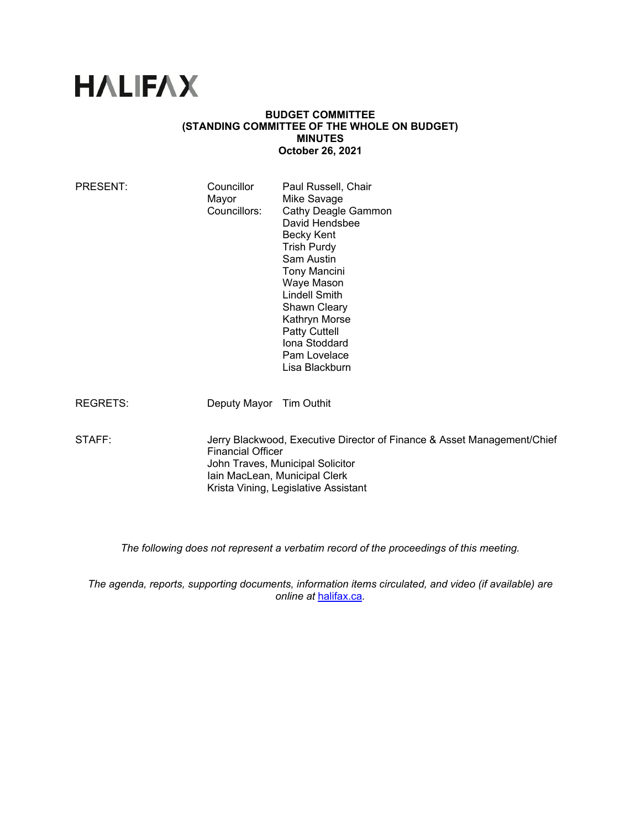# **HALIFAX**

#### **BUDGET COMMITTEE (STANDING COMMITTEE OF THE WHOLE ON BUDGET) MINUTES October 26, 2021**

| <b>PRESENT:</b> | Councillor<br>Mayor<br>Councillors: | Paul Russell, Chair<br>Mike Savage<br>Cathy Deagle Gammon<br>David Hendsbee<br>Becky Kent<br><b>Trish Purdy</b><br>Sam Austin<br><b>Tony Mancini</b><br>Waye Mason<br>Lindell Smith<br><b>Shawn Cleary</b><br>Kathryn Morse<br><b>Patty Cuttell</b><br>Iona Stoddard<br>Pam Lovelace<br>Lisa Blackburn |
|-----------------|-------------------------------------|--------------------------------------------------------------------------------------------------------------------------------------------------------------------------------------------------------------------------------------------------------------------------------------------------------|
| <b>REGRETS:</b> | Deputy Mayor                        | Tim Outhit                                                                                                                                                                                                                                                                                             |

STAFF: Jerry Blackwood, Executive Director of Finance & Asset Management/Chief Financial Officer John Traves, Municipal Solicitor Iain MacLean, Municipal Clerk Krista Vining, Legislative Assistant

*The following does not represent a verbatim record of the proceedings of this meeting.* 

*The agenda, reports, supporting documents, information items circulated, and video (if available) are online at* halifax.ca*.*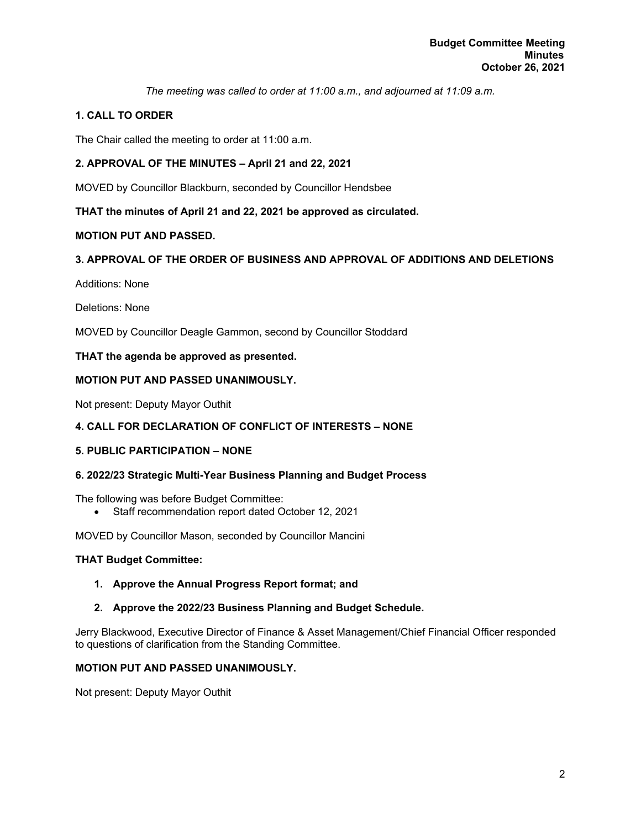*The meeting was called to order at 11:00 a.m., and adjourned at 11:09 a.m.*

## **1. CALL TO ORDER**

The Chair called the meeting to order at 11:00 a.m.

## **2. APPROVAL OF THE MINUTES – April 21 and 22, 2021**

MOVED by Councillor Blackburn, seconded by Councillor Hendsbee

### **THAT the minutes of April 21 and 22, 2021 be approved as circulated.**

## **MOTION PUT AND PASSED.**

### **3. APPROVAL OF THE ORDER OF BUSINESS AND APPROVAL OF ADDITIONS AND DELETIONS**

Additions: None

Deletions: None

MOVED by Councillor Deagle Gammon, second by Councillor Stoddard

#### **THAT the agenda be approved as presented.**

## **MOTION PUT AND PASSED UNANIMOUSLY.**

Not present: Deputy Mayor Outhit

## **4. CALL FOR DECLARATION OF CONFLICT OF INTERESTS – NONE**

#### **5. PUBLIC PARTICIPATION – NONE**

## **6. 2022/23 Strategic Multi-Year Business Planning and Budget Process**

The following was before Budget Committee:

Staff recommendation report dated October 12, 2021

MOVED by Councillor Mason, seconded by Councillor Mancini

#### **THAT Budget Committee:**

**1. Approve the Annual Progress Report format; and** 

#### **2. Approve the 2022/23 Business Planning and Budget Schedule.**

Jerry Blackwood, Executive Director of Finance & Asset Management/Chief Financial Officer responded to questions of clarification from the Standing Committee.

## **MOTION PUT AND PASSED UNANIMOUSLY.**

Not present: Deputy Mayor Outhit